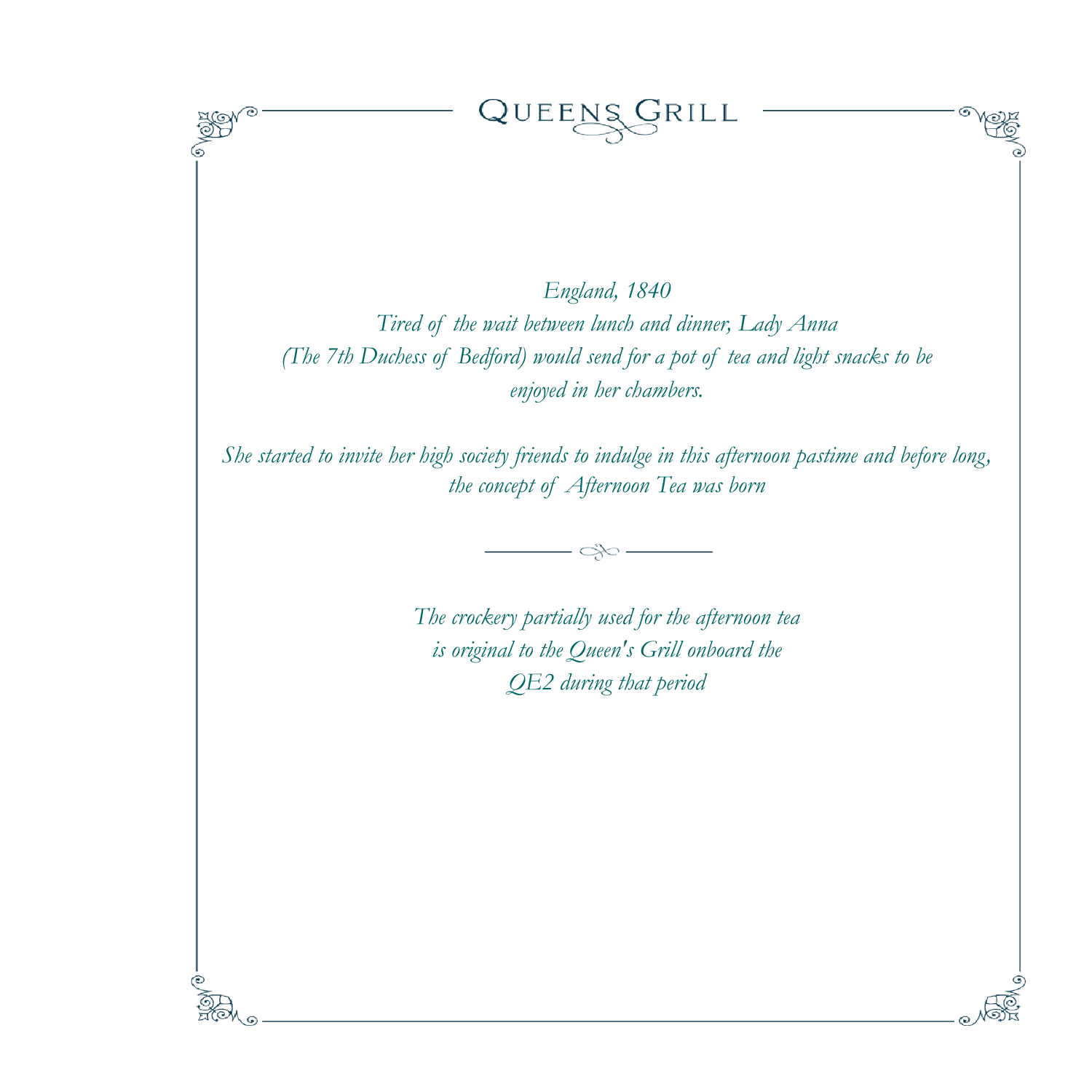*England, 1840 Tired of the wait between lunch and dinner, Lady Anna (The 7th Duchess of Bedford) would send for a pot of tea and light snacks to be enjoyed in her chambers.* 

QUEENS GRILL

*She started to invite her high society friends to indulge in this afternoon pastime and before long, the concept of Afternoon Tea was born*



*The crockery partially used for the afternoon tea is original to the Queen's Grill onboard the QE2 during that period*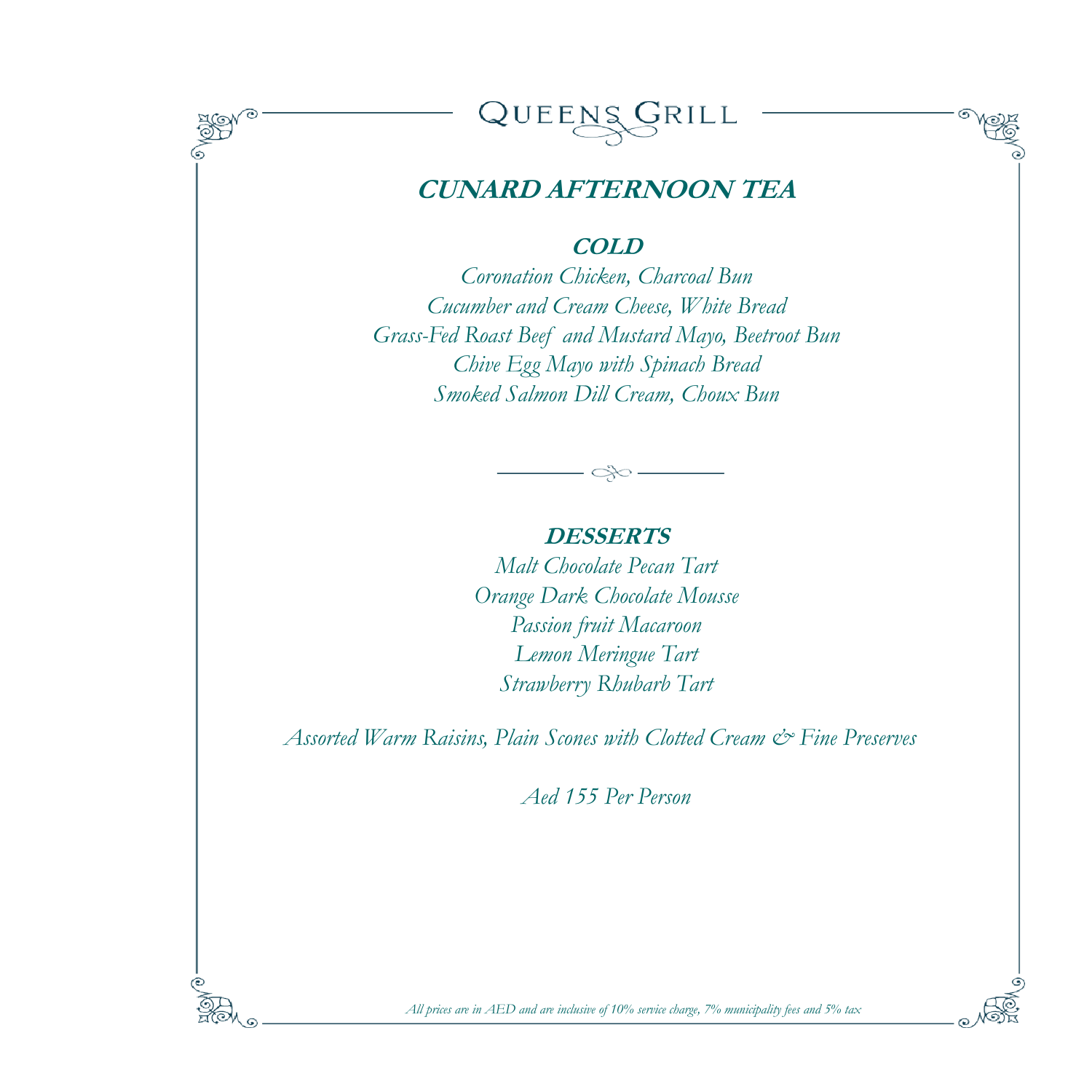



# **CUNARD AFTERNOON TEA**

**COLD**

*Coronation Chicken, Charcoal Bun Cucumber and Cream Cheese, White Bread Grass-Fed Roast Beef and Mustard Mayo, Beetroot Bun Chive Egg Mayo with Spinach Bread Smoked Salmon Dill Cream, Choux Bun*

#### **DESSERTS**

*Malt Chocolate Pecan Tart Orange Dark Chocolate Mousse Passion fruit Macaroon Lemon Meringue Tart Strawberry Rhubarb Tart*

*Assorted Warm Raisins, Plain Scones with Clotted Cream & Fine Preserves* 

*Aed 155 Per Person*

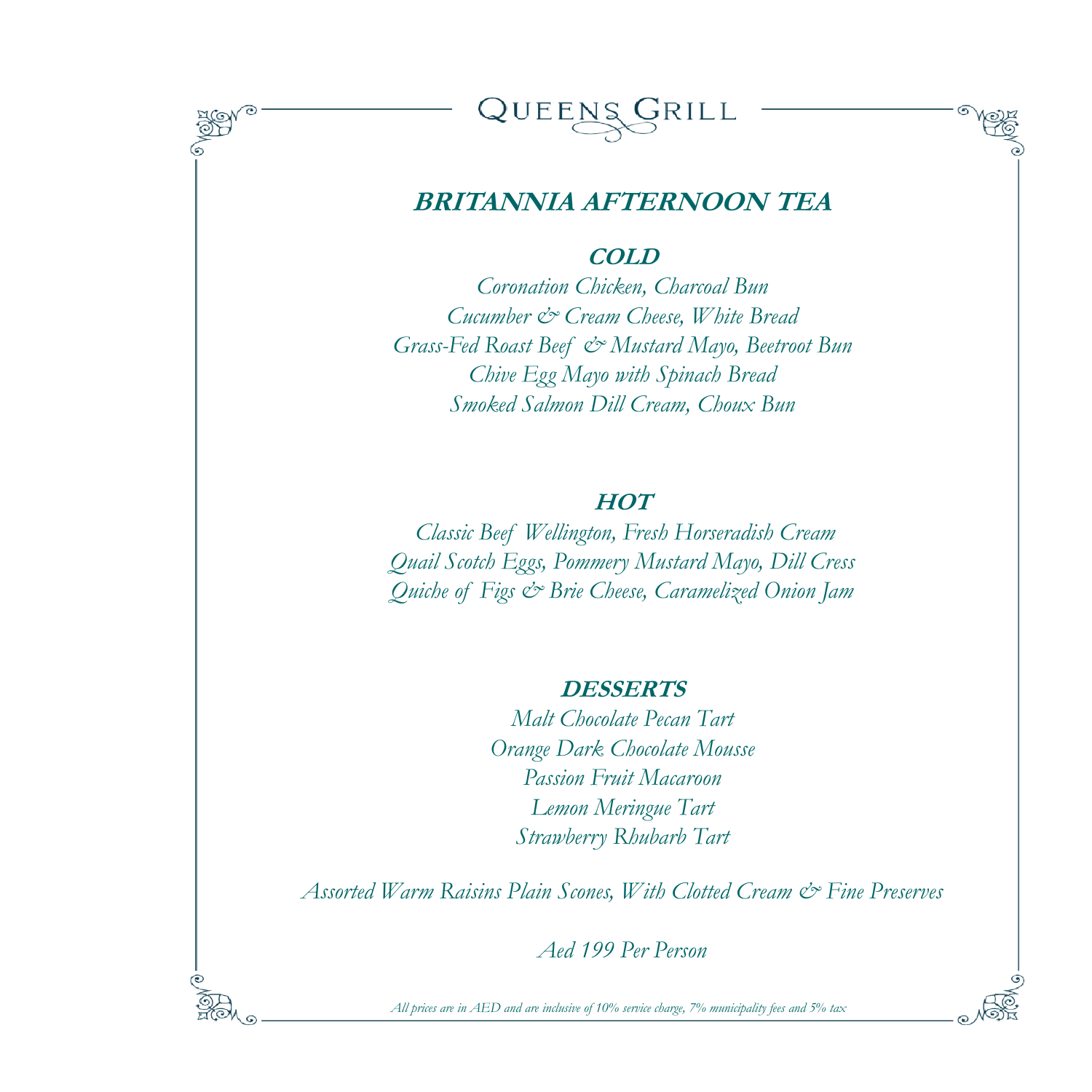



## **BRITANNIA AFTERNOON TEA**

#### **COLD**

*Coronation Chicken, Charcoal Bun Cucumber & Cream Cheese, White Bread Grass-Fed Roast Beef & Mustard Mayo, Beetroot Bun Chive Egg Mayo with Spinach Bread Smoked Salmon Dill Cream, Choux Bun*

### **HOT**

*Classic Beef Wellington, Fresh Horseradish Cream Quail Scotch Eggs, Pommery Mustard Mayo, Dill Cress Quiche of Figs & Brie Cheese, Caramelized Onion Jam* 

#### **DESSERTS**

*Malt Chocolate Pecan Tart Orange Dark Chocolate Mousse Passion Fruit Macaroon Lemon Meringue Tart Strawberry Rhubarb Tart*

*Assorted Warm Raisins Plain Scones, With Clotted Cream & Fine Preserves* 

*Aed 199 Per Person*

*All prices are in AED and are inclusive of 10% service charge, 7% municipality fees and 5% tax*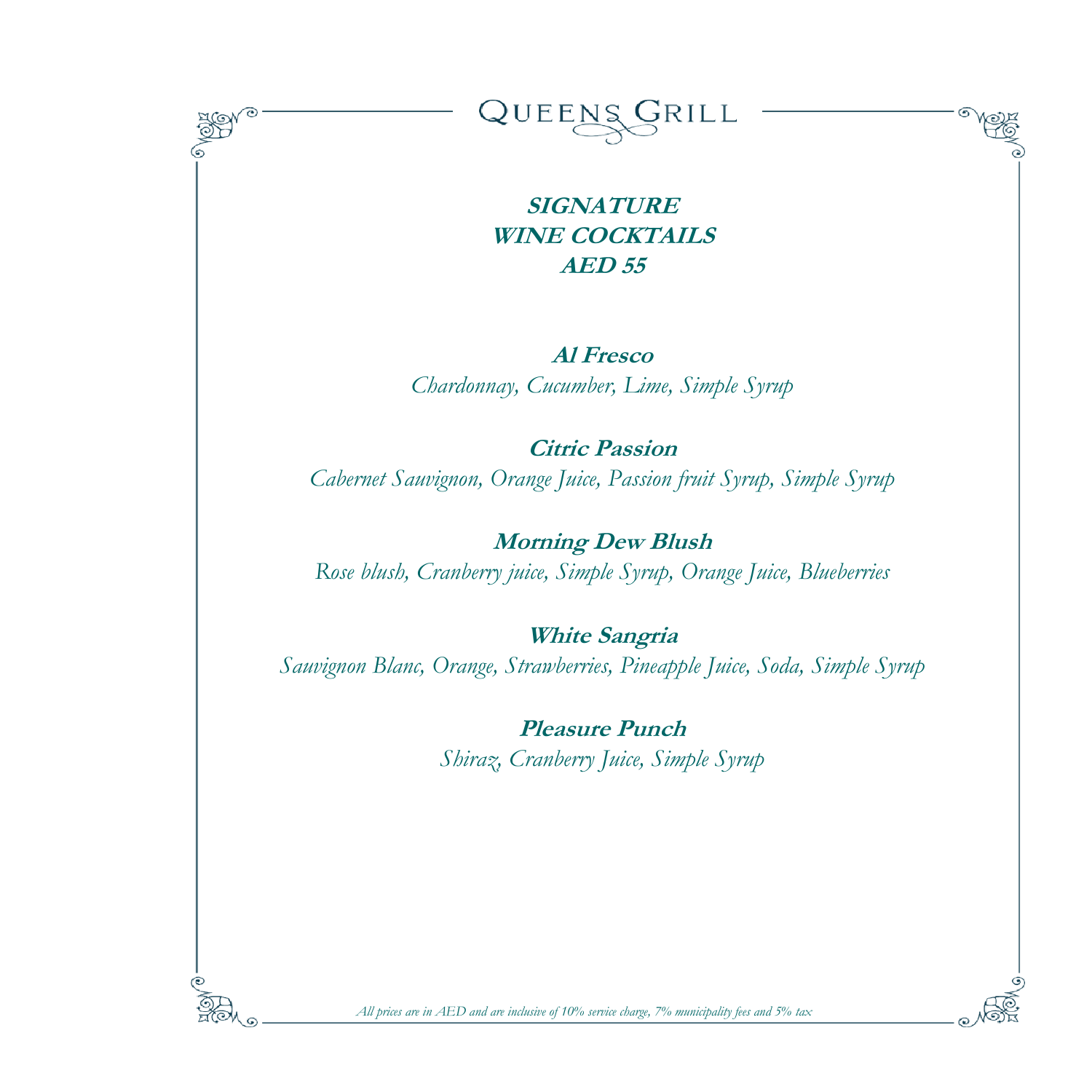

*All prices are in AED and are inclusive of 10% service charge, 7% municipality fees and 5% tax*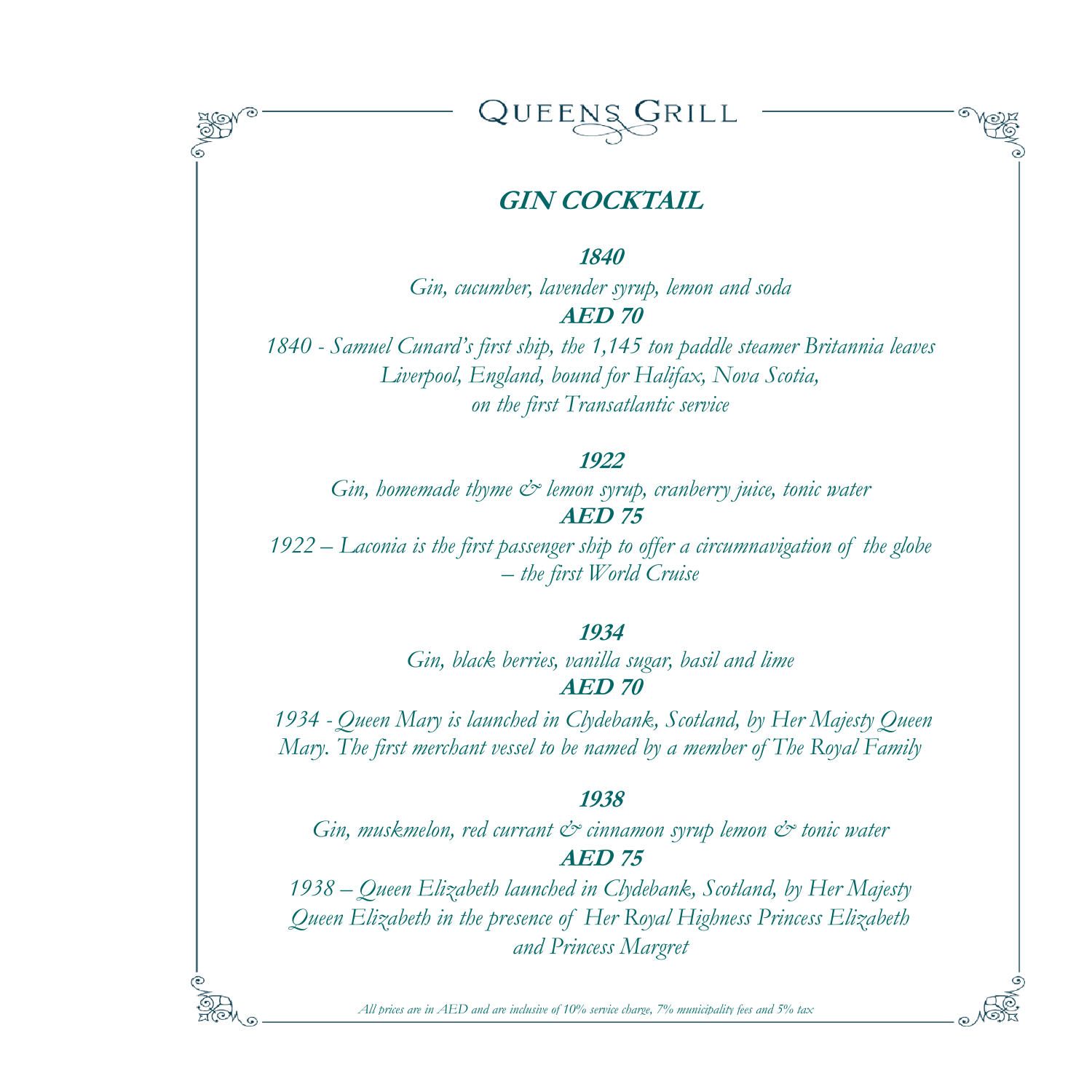



# **GIN COCKTAIL**

**1840**

*Gin, cucumber, lavender syrup, lemon and soda* **AED 70**

*1840 - Samuel Cunard's first ship, the 1,145 ton paddle steamer Britannia leaves Liverpool, England, bound for Halifax, Nova Scotia, on the first Transatlantic service*

#### **1922**

*Gin, homemade thyme & lemon syrup, cranberry juice, tonic water* **AED 75**

*1922 – Laconia is the first passenger ship to offer a circumnavigation of the globe – the first World Cruise*

#### **1934**

*Gin, black berries, vanilla sugar, basil and lime* **AED 70**

*1934 - Queen Mary is launched in Clydebank, Scotland, by Her Majesty Queen Mary. The first merchant vessel to be named by a member of The Royal Family*

#### **1938**

*Gin, muskmelon, red currant & cinnamon syrup lemon & tonic water* **AED 75**

*1938 – Queen Elizabeth launched in Clydebank, Scotland, by Her Majesty Queen Elizabeth in the presence of Her Royal Highness Princess Elizabeth and Princess Margret*

*All prices are in AED and are inclusive of 10% service charge, 7% municipality fees and 5% tax*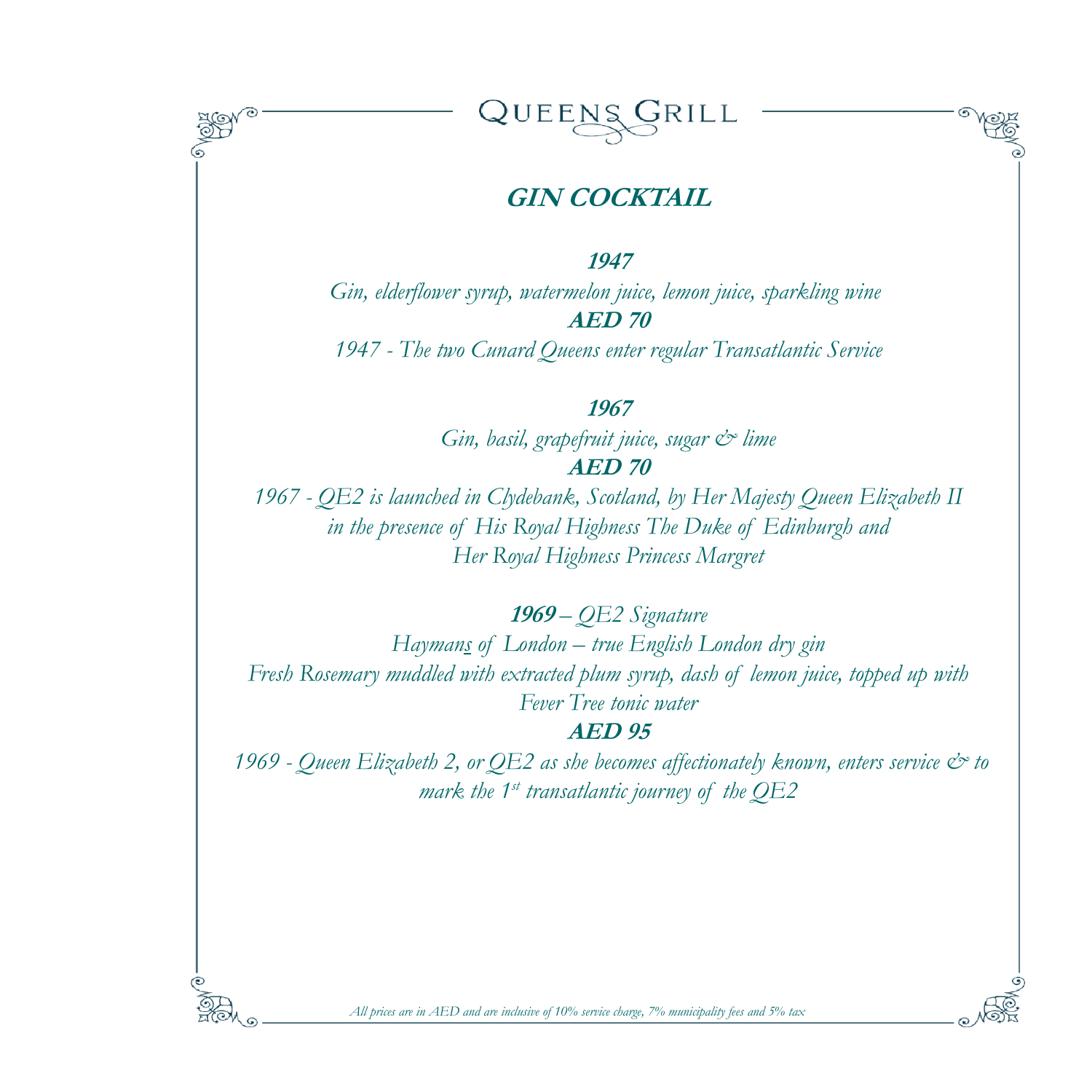

# **GIN COCKTAIL**

**1947**

*Gin, elderflower syrup, watermelon juice, lemon juice, sparkling wine* **AED 70**

*1947 - The two Cunard Queens enter regular Transatlantic Service*

#### **1967**

*Gin, basil, grapefruit juice, sugar & lime* **AED 70**

*1967 - QE2 is launched in Clydebank, Scotland, by Her Majesty Queen Elizabeth II in the presence of His Royal Highness The Duke of Edinburgh and Her Royal Highness Princess Margret*

**<sup>1969</sup>** *– QE2 Signature*

*Haymans of London – true English London dry gin Fresh Rosemary muddled with extracted plum syrup, dash of lemon juice, topped up with Fever Tree tonic water*

#### **AED 95**

*1969 - Queen Elizabeth 2, or QE2 as she becomes affectionately known, enters service & to mark the 1st transatlantic journey of the QE2*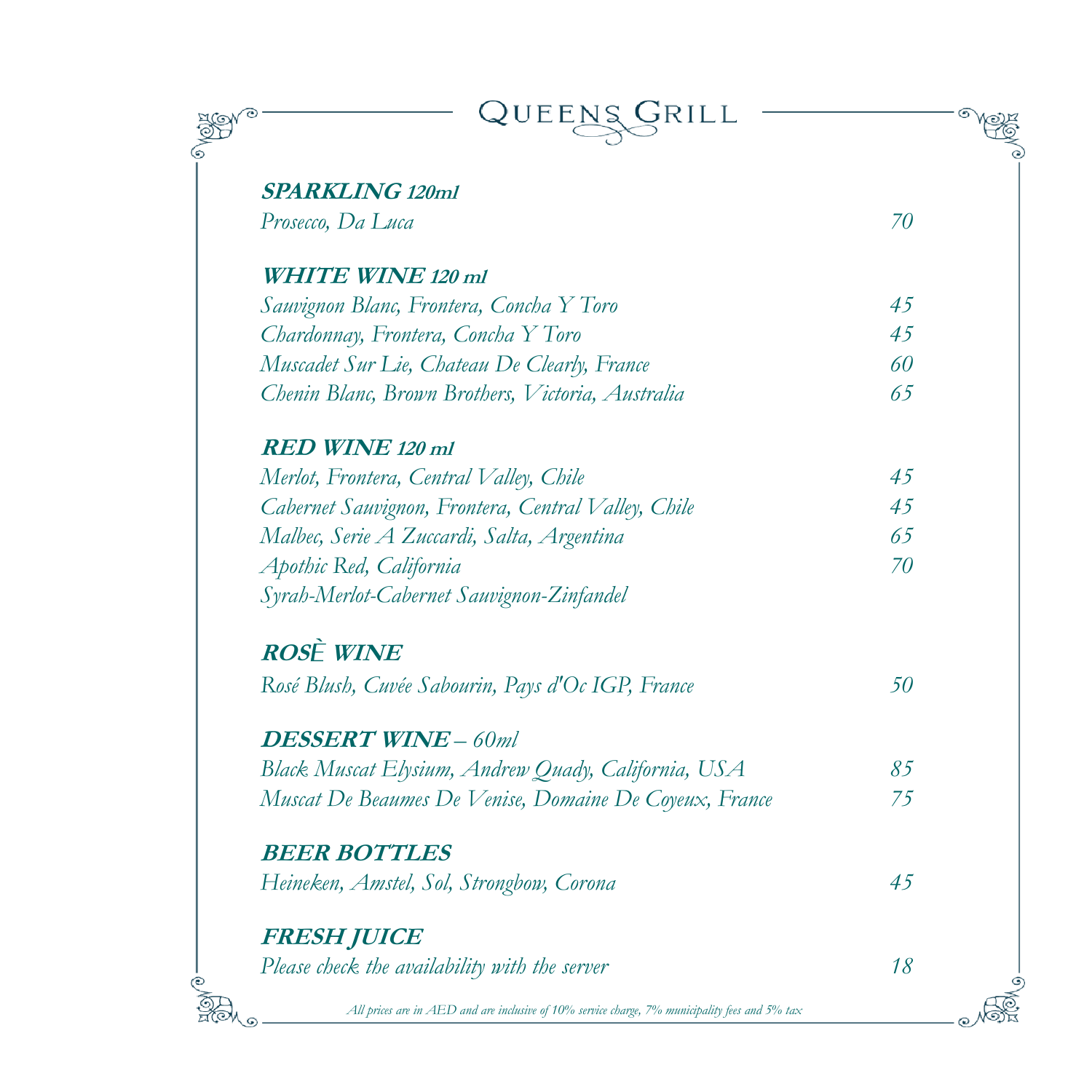| QUEENS                                                                                         |    |
|------------------------------------------------------------------------------------------------|----|
| <b>SPARKLING 120ml</b>                                                                         |    |
| Prosecco, Da Luca                                                                              | 70 |
| <b>WHITE WINE 120 ml</b>                                                                       |    |
| Sauvignon Blanc, Frontera, Concha Y Toro                                                       | 45 |
| Chardonnay, Frontera, Concha Y Toro                                                            | 45 |
| Muscadet Sur Lie, Chateau De Clearly, France                                                   | 60 |
| Chenin Blanc, Brown Brothers, Victoria, Australia                                              | 65 |
| <b>RED WINE 120 ml</b>                                                                         |    |
| Merlot, Frontera, Central Valley, Chile                                                        | 45 |
| Cabernet Sauvignon, Frontera, Central Valley, Chile                                            | 45 |
| Malbec, Serie A Zuccardi, Salta, Argentina                                                     | 65 |
| Apothic Red, California                                                                        | 70 |
| Syrah-Merlot-Cabernet Sauvignon-Zinfandel                                                      |    |
| <b>ROSÈ WINE</b>                                                                               |    |
| Rosé Blush, Cuvée Sabourin, Pays d'Oc IGP, France                                              | 50 |
| <b>DESSERT WINE - 60ml</b>                                                                     |    |
| Black Muscat Elysium, Andrew Quady, California, USA                                            | 85 |
| Muscat De Beaumes De Venise, Domaine De Coyeux, France                                         | 75 |
| <b>BEER BOTTLES</b>                                                                            |    |
| Heineken, Amstel, Sol, Strongbow, Corona                                                       | 45 |
| FRESH JUICE                                                                                    |    |
| Please check the availability with the server                                                  | 18 |
| All prices are in AED and are inclusive of 10% service charge, 7% municipality fees and 5% tax |    |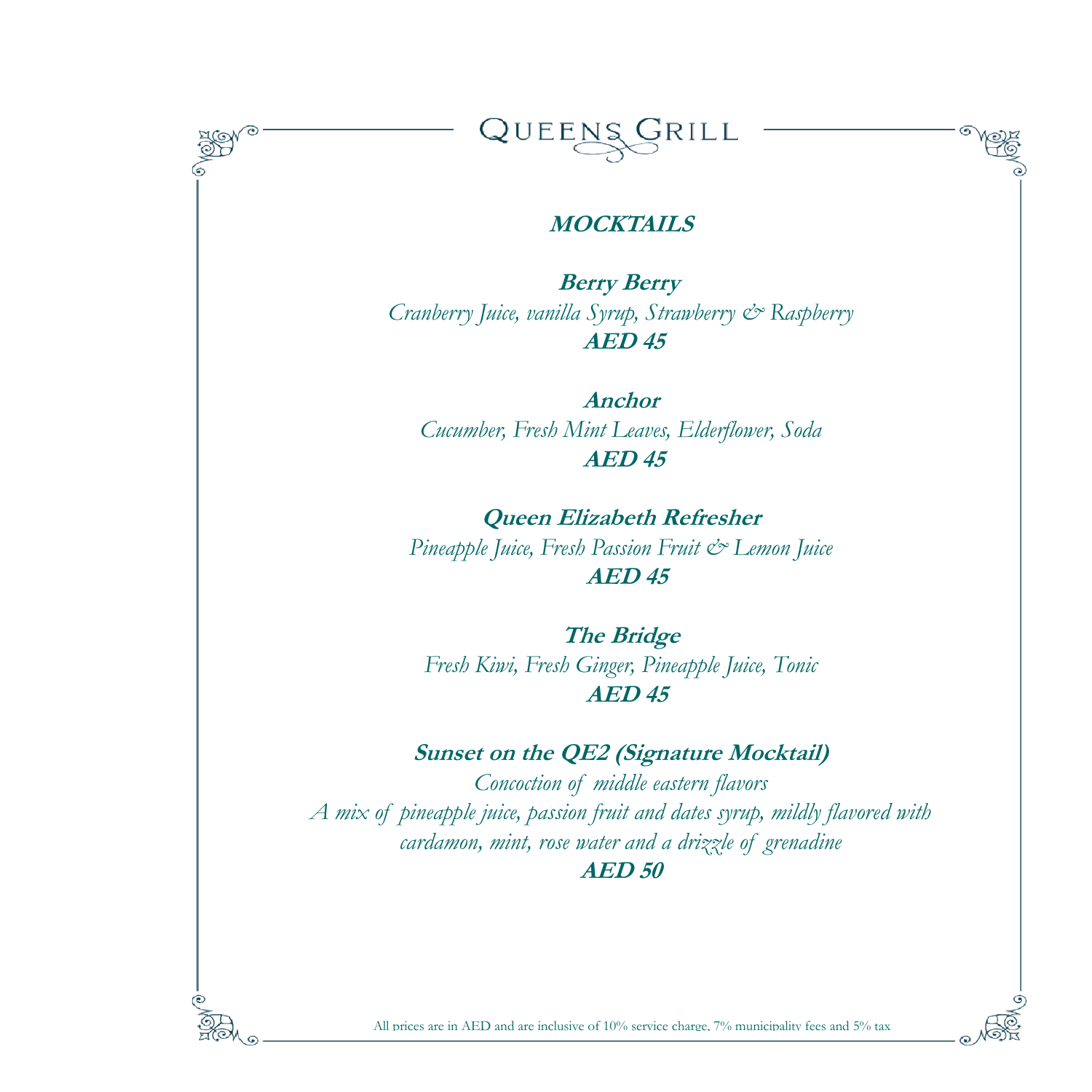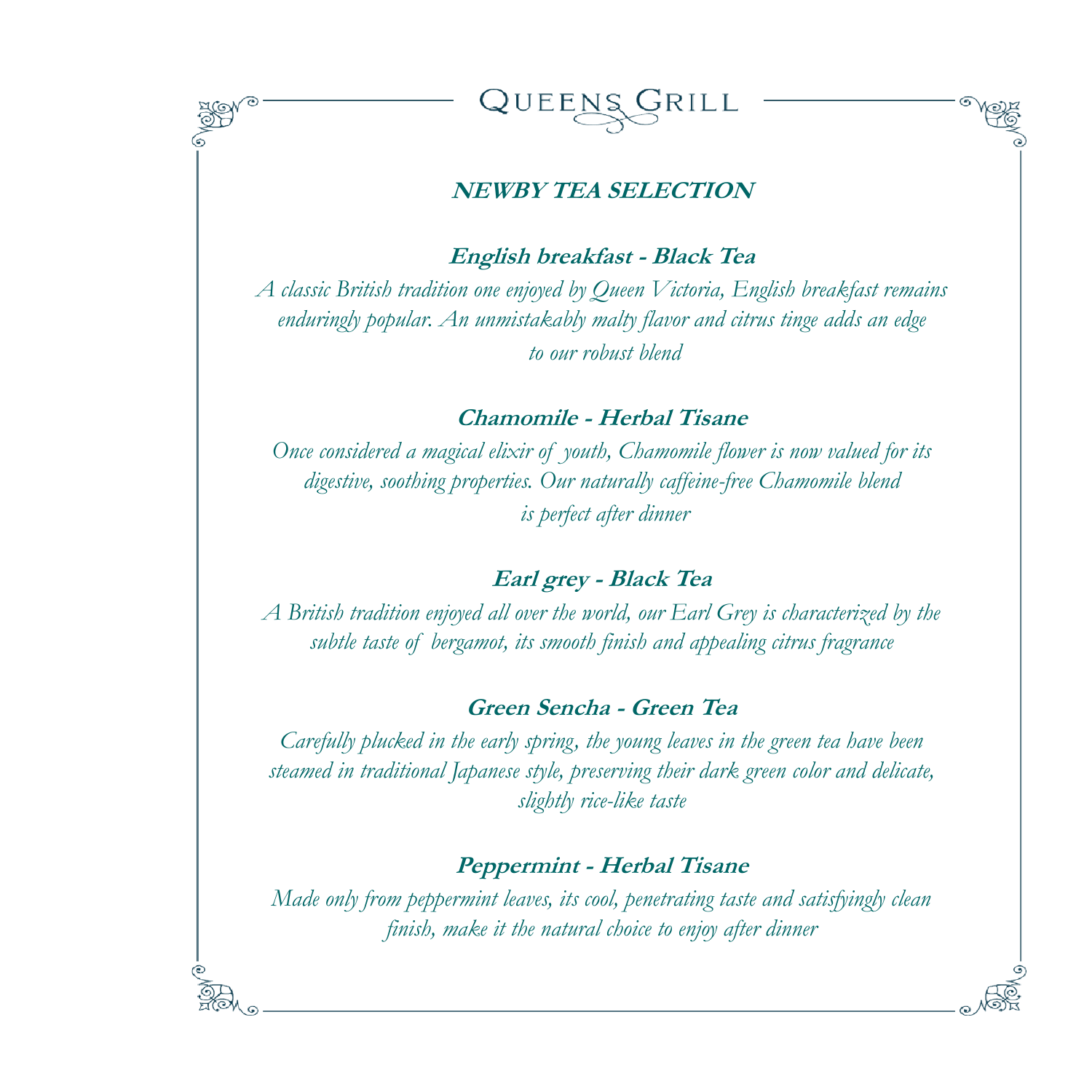



### **NEWBY TEA SELECTION**

**English breakfast - Black Tea**

*A classic British tradition one enjoyed by Queen Victoria, English breakfast remains enduringly popular. An unmistakably malty flavor and citrus tinge adds an edge to our robust blend*

**Chamomile - Herbal Tisane**

*Once considered a magical elixir of youth, Chamomile flower is now valued for its digestive, soothing properties. Our naturally caffeine-free Chamomile blend is perfect after dinner*

## **Earl grey - Black Tea**

*A British tradition enjoyed all over the world, our Earl Grey is characterized by the subtle taste of bergamot, its smooth finish and appealing citrus fragrance*

### **Green Sencha - Green Tea**

*Carefully plucked in the early spring, the young leaves in the green tea have been steamed in traditional Japanese style, preserving their dark green color and delicate, slightly rice-like taste*

## **Peppermint - Herbal Tisane**

*Made only from peppermint leaves, its cool, penetrating taste and satisfyingly clean finish, make it the natural choice to enjoy after dinner*